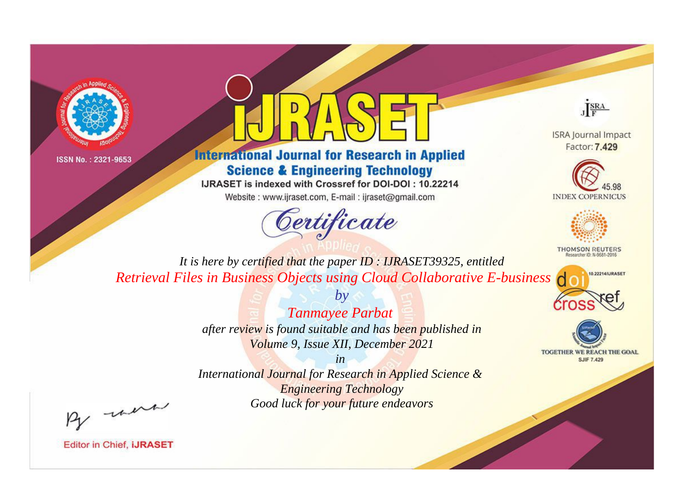



## **International Journal for Research in Applied Science & Engineering Technology**

IJRASET is indexed with Crossref for DOI-DOI: 10.22214

Website: www.ijraset.com, E-mail: ijraset@gmail.com



JERA

**ISRA Journal Impact** Factor: 7.429





**THOMSON REUTERS** 



TOGETHER WE REACH THE GOAL **SJIF 7.429** 

*It is here by certified that the paper ID : IJRASET39325, entitled Retrieval Files in Business Objects using Cloud Collaborative E-business*

> *by Tanmayee Parbat after review is found suitable and has been published in Volume 9, Issue XII, December 2021*

*in International Journal for Research in Applied Science & Engineering Technology Good luck for your future endeavors*

By morn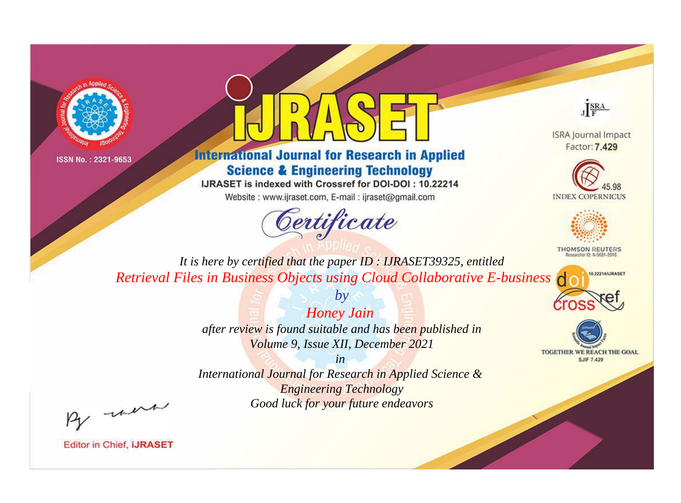



## **International Journal for Research in Applied Science & Engineering Technology**

IJRASET is indexed with Crossref for DOI-DOI: 10.22214

Website: www.ijraset.com, E-mail: ijraset@gmail.com



JERA

**ISRA Journal Impact** Factor: 7.429





**THOMSON REUTERS** 



TOGETHER WE REACH THE GOAL **SJIF 7.429** 

It is here by certified that the paper ID: IJRASET39325, entitled Retrieval Files in Business Objects using Cloud Collaborative E-business

> **Honey Jain** after review is found suitable and has been published in Volume 9, Issue XII, December 2021

 $b\nu$ 

 $in$ International Journal for Research in Applied Science & **Engineering Technology** Good luck for your future endeavors

By morn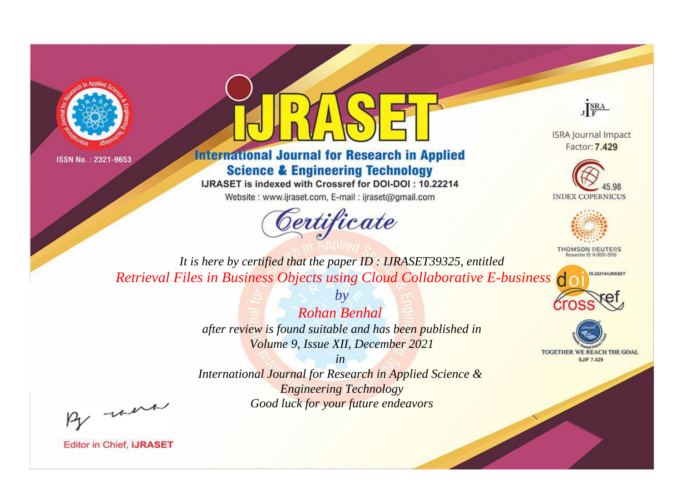



## **International Journal for Research in Applied Science & Engineering Technology**

IJRASET is indexed with Crossref for DOI-DOI: 10.22214

Website: www.ijraset.com, E-mail: ijraset@gmail.com



JERA

**ISRA Journal Impact** Factor: 7.429





**THOMSON REUTERS** 



TOGETHER WE REACH THE GOAL **SJIF 7.429** 

It is here by certified that the paper ID: IJRASET39325, entitled Retrieval Files in Business Objects using Cloud Collaborative E-business

> **Rohan Benhal** after review is found suitable and has been published in Volume 9, Issue XII, December 2021

 $b\nu$ 

 $in$ International Journal for Research in Applied Science & **Engineering Technology** Good luck for your future endeavors

By morn